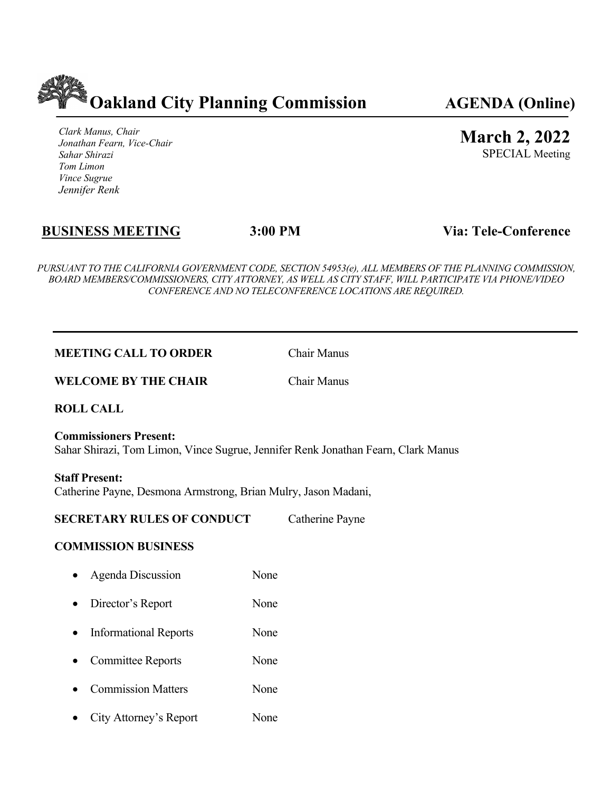

*Clark Manus, Chair Jonathan Fearn, Vice-Chair Sahar Shirazi Tom Limon Vince Sugrue Jennifer Renk*

# **March 2, 2022**

SPECIAL Meeting

# **BUSINESS MEETING 3:00 PM Via: Tele-Conference**

*PURSUANT TO THE CALIFORNIA GOVERNMENT CODE, SECTION 54953(e), ALL MEMBERS OF THE PLANNING COMMISSION, BOARD MEMBERS/COMMISSIONERS, CITY ATTORNEY, AS WELL AS CITY STAFF, WILL PARTICIPATE VIA PHONE/VIDEO CONFERENCE AND NO TELECONFERENCE LOCATIONS ARE REQUIRED.*

#### **MEETING CALL TO ORDER** Chair Manus

**WELCOME BY THE CHAIR** Chair Manus

**ROLL CALL**

**Commissioners Present:**  Sahar Shirazi, Tom Limon, Vince Sugrue, Jennifer Renk Jonathan Fearn, Clark Manus

**Staff Present:**  Catherine Payne, Desmona Armstrong, Brian Mulry, Jason Madani,

#### **SECRETARY RULES OF CONDUCT** Catherine Payne

#### **COMMISSION BUSINESS**

- Agenda Discussion None
- Director's Report None
- Informational Reports None
- Committee Reports None
- **Commission Matters** None
- City Attorney's Report None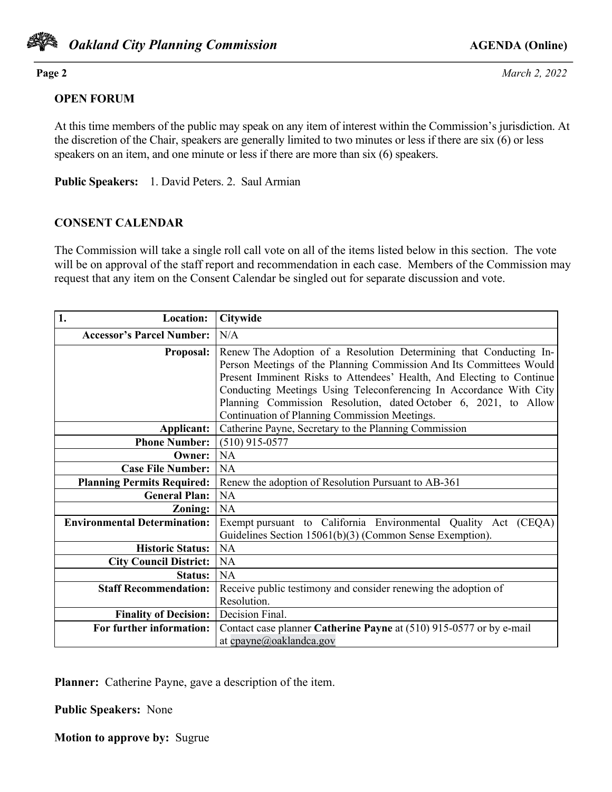

**Page 2** *March 2, 2022*

# **OPEN FORUM**

At this time members of the public may speak on any item of interest within the Commission's jurisdiction. At the discretion of the Chair, speakers are generally limited to two minutes or less if there are six (6) or less speakers on an item, and one minute or less if there are more than six (6) speakers.

**Public Speakers:** 1. David Peters. 2. Saul Armian

# **CONSENT CALENDAR**

The Commission will take a single roll call vote on all of the items listed below in this section. The vote will be on approval of the staff report and recommendation in each case. Members of the Commission may request that any item on the Consent Calendar be singled out for separate discussion and vote.

| 1.<br><b>Location:</b>              | <b>Citywide</b>                                                                                                                                                                                                                                                                                                                                                                                              |
|-------------------------------------|--------------------------------------------------------------------------------------------------------------------------------------------------------------------------------------------------------------------------------------------------------------------------------------------------------------------------------------------------------------------------------------------------------------|
| <b>Accessor's Parcel Number:</b>    | N/A                                                                                                                                                                                                                                                                                                                                                                                                          |
| <b>Proposal:</b>                    | Renew The Adoption of a Resolution Determining that Conducting In-<br>Person Meetings of the Planning Commission And Its Committees Would<br>Present Imminent Risks to Attendees' Health, And Electing to Continue<br>Conducting Meetings Using Teleconferencing In Accordance With City<br>Planning Commission Resolution, dated October 6, 2021, to Allow<br>Continuation of Planning Commission Meetings. |
| Applicant:                          | Catherine Payne, Secretary to the Planning Commission                                                                                                                                                                                                                                                                                                                                                        |
| <b>Phone Number:</b>                | $(510)$ 915-0577                                                                                                                                                                                                                                                                                                                                                                                             |
| Owner:                              | <b>NA</b>                                                                                                                                                                                                                                                                                                                                                                                                    |
| <b>Case File Number:</b>            | <b>NA</b>                                                                                                                                                                                                                                                                                                                                                                                                    |
| <b>Planning Permits Required:</b>   | Renew the adoption of Resolution Pursuant to AB-361                                                                                                                                                                                                                                                                                                                                                          |
| <b>General Plan:</b>                | <b>NA</b>                                                                                                                                                                                                                                                                                                                                                                                                    |
| Zoning:                             | <b>NA</b>                                                                                                                                                                                                                                                                                                                                                                                                    |
| <b>Environmental Determination:</b> | Exempt pursuant to California Environmental Quality Act (CEQA)<br>Guidelines Section 15061(b)(3) (Common Sense Exemption).                                                                                                                                                                                                                                                                                   |
| <b>Historic Status:</b>             | <b>NA</b>                                                                                                                                                                                                                                                                                                                                                                                                    |
| <b>City Council District:</b>       | <b>NA</b>                                                                                                                                                                                                                                                                                                                                                                                                    |
| <b>Status:</b>                      | <b>NA</b>                                                                                                                                                                                                                                                                                                                                                                                                    |
| <b>Staff Recommendation:</b>        | Receive public testimony and consider renewing the adoption of                                                                                                                                                                                                                                                                                                                                               |
|                                     | Resolution.                                                                                                                                                                                                                                                                                                                                                                                                  |
| <b>Finality of Decision:</b>        | Decision Final.                                                                                                                                                                                                                                                                                                                                                                                              |
| For further information:            | Contact case planner Catherine Payne at (510) 915-0577 or by e-mail                                                                                                                                                                                                                                                                                                                                          |
|                                     | at cpayne@oaklandca.gov                                                                                                                                                                                                                                                                                                                                                                                      |

**Planner:** Catherine Payne, gave a description of the item.

**Public Speakers:** None

**Motion to approve by:** Sugrue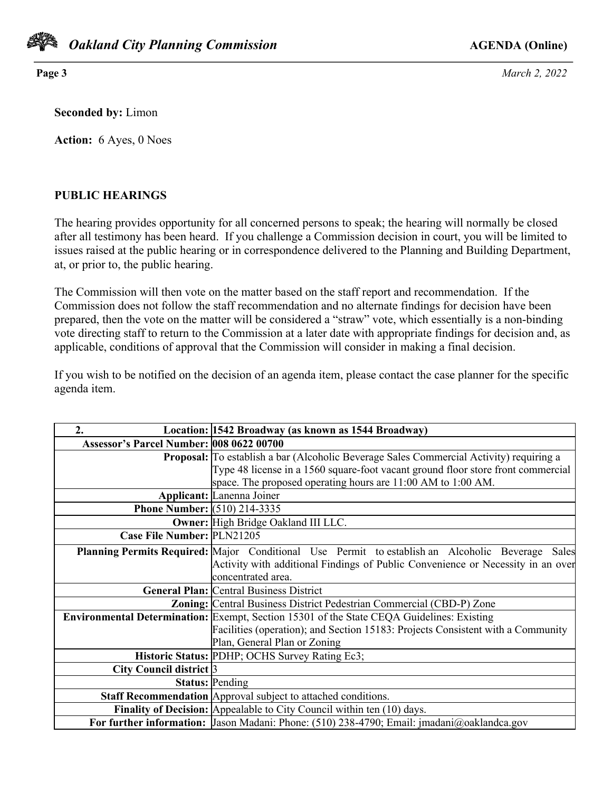

**Page 3** *March 2, 2022*

**Seconded by:** Limon

**Action:** 6 Ayes, 0 Noes

#### **PUBLIC HEARINGS**

The hearing provides opportunity for all concerned persons to speak; the hearing will normally be closed after all testimony has been heard. If you challenge a Commission decision in court, you will be limited to issues raised at the public hearing or in correspondence delivered to the Planning and Building Department, at, or prior to, the public hearing.

The Commission will then vote on the matter based on the staff report and recommendation. If the Commission does not follow the staff recommendation and no alternate findings for decision have been prepared, then the vote on the matter will be considered a "straw" vote, which essentially is a non-binding vote directing staff to return to the Commission at a later date with appropriate findings for decision and, as applicable, conditions of approval that the Commission will consider in making a final decision.

If you wish to be notified on the decision of an agenda item, please contact the case planner for the specific agenda item.

| 2.                                       | Location: 1542 Broadway (as known as 1544 Broadway)                                              |
|------------------------------------------|--------------------------------------------------------------------------------------------------|
| Assessor's Parcel Number: 008 0622 00700 |                                                                                                  |
|                                          | Proposal: To establish a bar (Alcoholic Beverage Sales Commercial Activity) requiring a          |
|                                          | Type 48 license in a 1560 square-foot vacant ground floor store front commercial                 |
|                                          | space. The proposed operating hours are 11:00 AM to 1:00 AM.                                     |
|                                          | <b>Applicant:</b> Lanenna Joiner                                                                 |
| <b>Phone Number:</b> (510) 214-3335      |                                                                                                  |
|                                          | Owner: High Bridge Oakland III LLC.                                                              |
| Case File Number: PLN21205               |                                                                                                  |
|                                          | Planning Permits Required: Major Conditional Use Permit to establish an Alcoholic Beverage Sales |
|                                          | Activity with additional Findings of Public Convenience or Necessity in an over                  |
|                                          | concentrated area.                                                                               |
|                                          | <b>General Plan: Central Business District</b>                                                   |
|                                          | <b>Zoning:</b> Central Business District Pedestrian Commercial (CBD-P) Zone                      |
|                                          | Environmental Determination: Exempt, Section 15301 of the State CEQA Guidelines: Existing        |
|                                          | Facilities (operation); and Section 15183: Projects Consistent with a Community                  |
|                                          | Plan, General Plan or Zoning                                                                     |
|                                          | Historic Status: PDHP; OCHS Survey Rating Ec3;                                                   |
| City Council district 3                  |                                                                                                  |
|                                          | <b>Status: Pending</b>                                                                           |
|                                          | Staff Recommendation Approval subject to attached conditions.                                    |
|                                          | <b>Finality of Decision:</b> Appealable to City Council within ten (10) days.                    |
|                                          | For further information: Jason Madani: Phone: (510) 238-4790; Email: jmadani@oaklandca.gov       |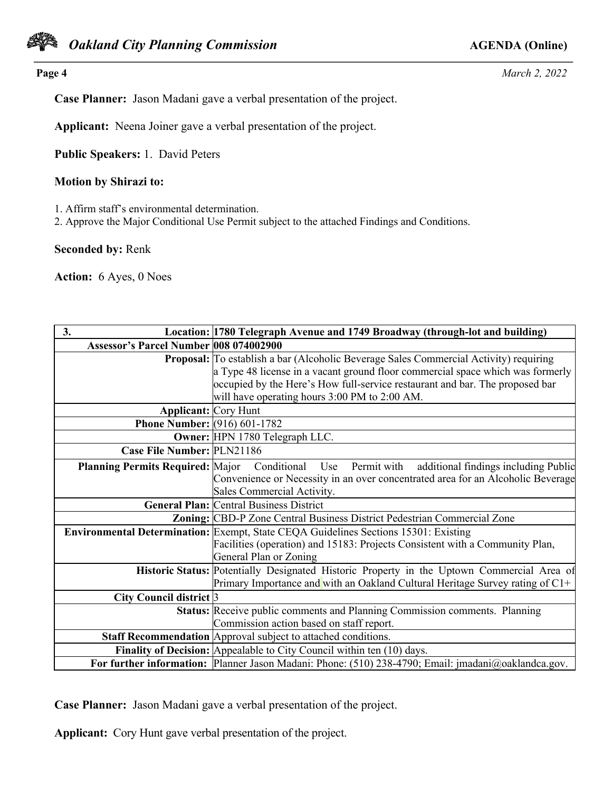

**Page 4** *March 2, 2022*

**Case Planner:** Jason Madani gave a verbal presentation of the project.

**Applicant:** Neena Joiner gave a verbal presentation of the project.

**Public Speakers:** 1. David Peters

#### **Motion by Shirazi to:**

1. Affirm staff's environmental determination.

2. Approve the Major Conditional Use Permit subject to the attached Findings and Conditions.

**Seconded by:** Renk

**Action:** 6 Ayes, 0 Noes

| 3.                                      | Location: 1780 Telegraph Avenue and 1749 Broadway (through-lot and building)                        |
|-----------------------------------------|-----------------------------------------------------------------------------------------------------|
| Assessor's Parcel Number 008 074002900  |                                                                                                     |
|                                         | <b>Proposal:</b> To establish a bar (Alcoholic Beverage Sales Commercial Activity) requiring        |
|                                         | a Type 48 license in a vacant ground floor commercial space which was formerly                      |
|                                         | occupied by the Here's How full-service restaurant and bar. The proposed bar                        |
|                                         | will have operating hours 3:00 PM to 2:00 AM.                                                       |
| <b>Applicant:</b> Cory Hunt             |                                                                                                     |
| <b>Phone Number:</b> (916) 601-1782     |                                                                                                     |
|                                         | Owner: HPN 1780 Telegraph LLC.                                                                      |
| Case File Number: PLN21186              |                                                                                                     |
| <b>Planning Permits Required: Major</b> | Conditional Use Permit with<br>additional findings including Public                                 |
|                                         | Convenience or Necessity in an over concentrated area for an Alcoholic Beverage                     |
|                                         | Sales Commercial Activity.                                                                          |
|                                         | <b>General Plan: Central Business District</b>                                                      |
|                                         | Zoning: CBD-P Zone Central Business District Pedestrian Commercial Zone                             |
|                                         | <b>Environmental Determination:</b> Exempt, State CEQA Guidelines Sections 15301: Existing          |
|                                         | Facilities (operation) and 15183: Projects Consistent with a Community Plan,                        |
|                                         | General Plan or Zoning                                                                              |
|                                         | Historic Status: Potentially Designated Historic Property in the Uptown Commercial Area of          |
|                                         | Primary Importance and with an Oakland Cultural Heritage Survey rating of C1+                       |
| City Council district 3                 |                                                                                                     |
|                                         | <b>Status:</b> Receive public comments and Planning Commission comments. Planning                   |
|                                         | Commission action based on staff report.                                                            |
|                                         | Staff Recommendation Approval subject to attached conditions.                                       |
|                                         | <b>Finality of Decision:</b> Appealable to City Council within ten (10) days.                       |
|                                         | For further information: Planner Jason Madani: Phone: (510) 238-4790; Email: jmadani@oaklandca.gov. |

**Case Planner:** Jason Madani gave a verbal presentation of the project.

**Applicant:** Cory Hunt gave verbal presentation of the project.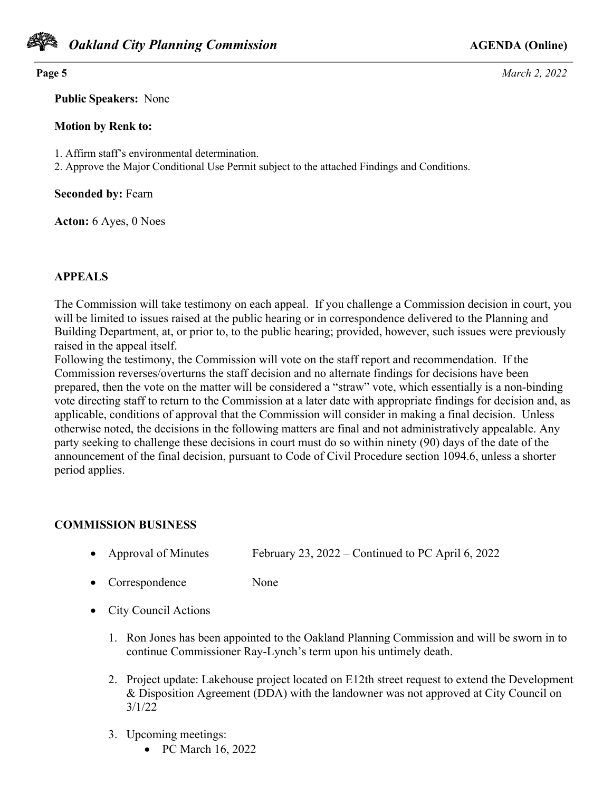

**Page 5** *March 2, 2022*

**Public Speakers:** None

#### **Motion by Renk to:**

1. Affirm staff's environmental determination.

2. Approve the Major Conditional Use Permit subject to the attached Findings and Conditions.

**Seconded by:** Fearn

**Acton:** 6 Ayes, 0 Noes

### **APPEALS**

The Commission will take testimony on each appeal. If you challenge a Commission decision in court, you will be limited to issues raised at the public hearing or in correspondence delivered to the Planning and Building Department, at, or prior to, to the public hearing; provided, however, such issues were previously raised in the appeal itself.

Following the testimony, the Commission will vote on the staff report and recommendation. If the Commission reverses/overturns the staff decision and no alternate findings for decisions have been prepared, then the vote on the matter will be considered a "straw" vote, which essentially is a non-binding vote directing staff to return to the Commission at a later date with appropriate findings for decision and, as applicable, conditions of approval that the Commission will consider in making a final decision. Unless otherwise noted, the decisions in the following matters are final and not administratively appealable. Any party seeking to challenge these decisions in court must do so within ninety (90) days of the date of the announcement of the final decision, pursuant to Code of Civil Procedure section 1094.6, unless a shorter period applies.

# **COMMISSION BUSINESS**

- Approval of Minutes February 23, 2022 Continued to PC April 6, 2022
- Correspondence None
- City Council Actions
	- 1. Ron Jones has been appointed to the Oakland Planning Commission and will be sworn in to continue Commissioner Ray-Lynch's term upon his untimely death.
	- 2. Project update: Lakehouse project located on E12th street request to extend the Development & Disposition Agreement (DDA) with the landowner was not approved at City Council on 3/1/22
	- 3. Upcoming meetings:
		- PC March 16, 2022